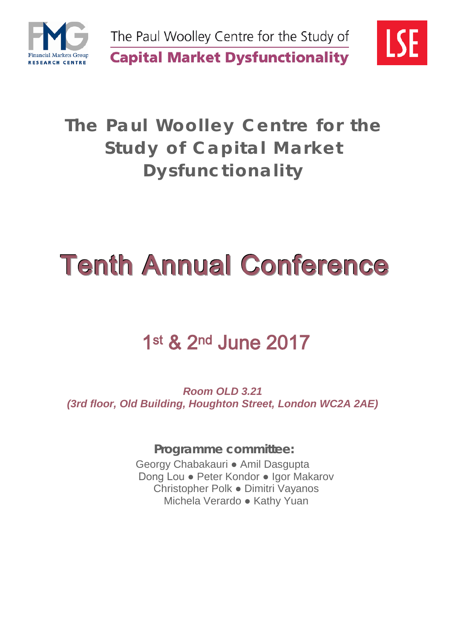

The Paul Woolley Centre for the Study of **Capital Market Dysfunctionality** 



# **The Paul Woolley Centre for the Study of Capital Market Dysfunctionality**

# Tenth Annual Conference

# 1st & 2nd June 2017

*Room OLD 3.21 (3rd floor, Old Building, Houghton Street, London WC2A 2AE)*

> **Programme committee:**  Georgy Chabakauri ● Amil Dasgupta Dong Lou ● Peter Kondor ● Igor Makarov Christopher Polk ● Dimitri Vayanos Michela Verardo ● Kathy Yuan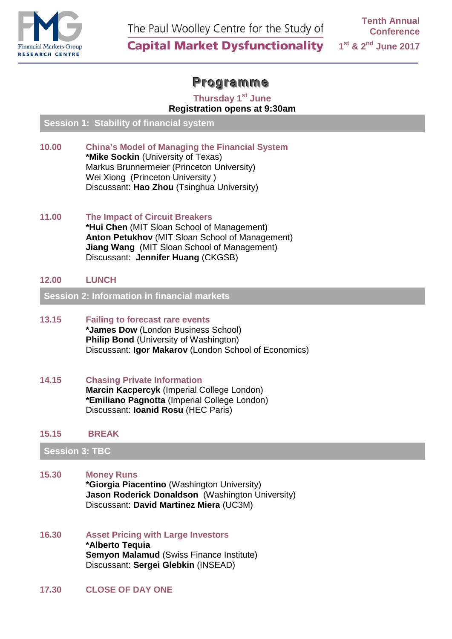

**Capital Market Dysfunctionality** 

**Tenth Annual Conference 1st & 2nd June 2017**

# **Programme**

**Thursday 1st June Registration opens at 9:30am**

**Session 1: Stability of financial system**

- **10.00 China's Model of Managing the Financial System \*Mike Sockin** (University of Texas) Markus Brunnermeier (Princeton University) Wei Xiong (Princeton University ) Discussant: **Hao Zhou** (Tsinghua University)
- **11.00 The Impact of Circuit Breakers \*Hui Chen** (MIT Sloan School of Management) **Anton Petukhov** (MIT Sloan School of Management) **Jiang Wang** (MIT Sloan School of Management) Discussant: **Jennifer Huang** (CKGSB)

# **12.00 LUNCH**

**Session 2: Information in financial markets**

- **13.15 Failing to forecast rare events \*James Dow** (London Business School) **Philip Bond** (University of Washington) Discussant: **Igor Makarov** (London School of Economics)
- **14.15 Chasing Private Information Marcin Kacpercyk** (Imperial College London) **\*Emiliano Pagnotta** (Imperial College London) Discussant: **Ioanid Rosu** (HEC Paris)

#### **15.15 BREAK**

**Session 3: TBC**

- **15.30 Money Runs \*Giorgia Piacentino** (Washington University) **Jason Roderick Donaldson** (Washington University) Discussant: **David Martinez Miera** (UC3M)
- **16.30 Asset Pricing with Large Investors \*Alberto Tequia Semyon Malamud** (Swiss Finance Institute) Discussant: **Sergei Glebkin** (INSEAD)
- **17.30 CLOSE OF DAY ONE**